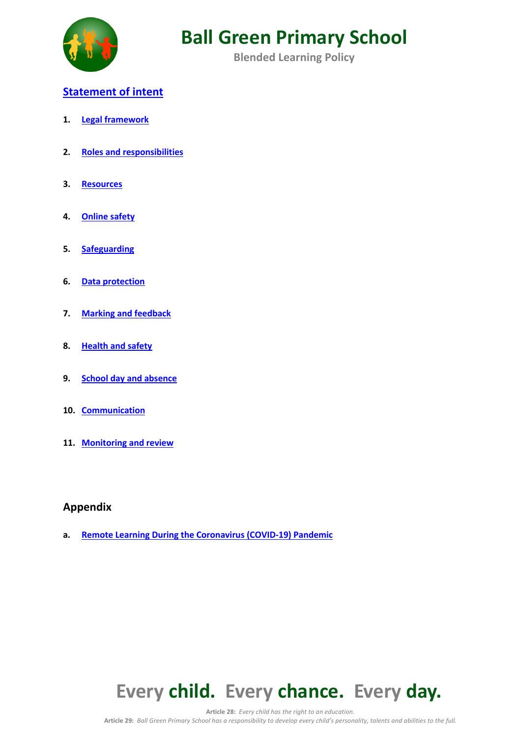

**Blended Learning Policy**

### **Statement of intent**

- **1. Legal framework**
- **2. Roles and responsibilities**
- **3. Resources**
- **4. Online safety**
- **5. Safeguarding**
- **6. Data protection**
- **7. Marking and feedback**
- **8. Health and safety**
- **9. School day and absence**
- **10. Communication**
- **11. Monitoring and review**

### **Appendix**

**a. Remote Learning During the Coronavirus (COVID-19) Pandemic**



**Article 28:** *Every child has the right to an education.*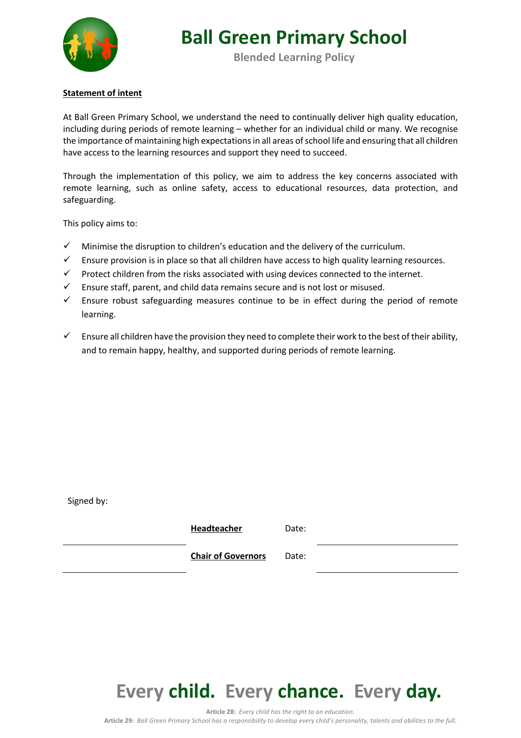

**Blended Learning Policy**

#### **Statement of intent**

At Ball Green Primary School, we understand the need to continually deliver high quality education, including during periods of remote learning – whether for an individual child or many. We recognise the importance of maintaining high expectations in all areas of school life and ensuring that all children have access to the learning resources and support they need to succeed.

Through the implementation of this policy, we aim to address the key concerns associated with remote learning, such as online safety, access to educational resources, data protection, and safeguarding.

This policy aims to:

- $\checkmark$  Minimise the disruption to children's education and the delivery of the curriculum.
- $\checkmark$  Ensure provision is in place so that all children have access to high quality learning resources.
- $\checkmark$  Protect children from the risks associated with using devices connected to the internet.
- $\checkmark$  Ensure staff, parent, and child data remains secure and is not lost or misused.
- $\checkmark$  Ensure robust safeguarding measures continue to be in effect during the period of remote learning.
- Ensure all children have the provision they need to complete their work to the best of their ability, and to remain happy, healthy, and supported during periods of remote learning.

Signed by:

| Headteacher               | Date: |  |
|---------------------------|-------|--|
| <b>Chair of Governors</b> | Date: |  |



**Article 28:** *Every child has the right to an education.*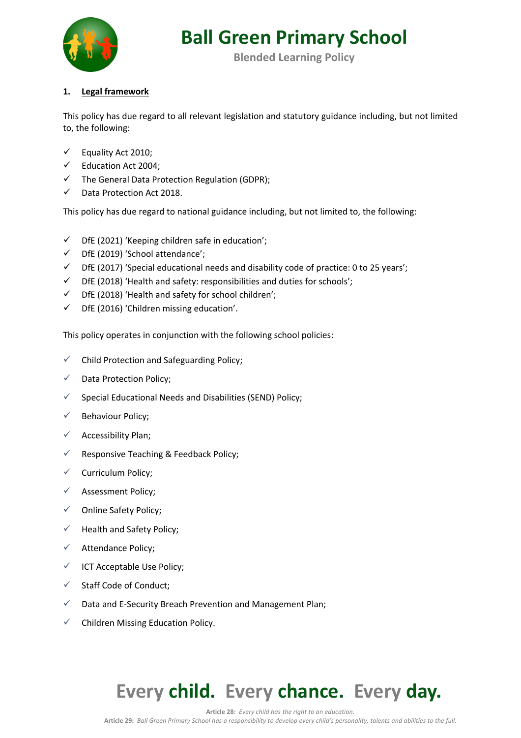

**Blended Learning Policy**

### **1. Legal framework**

This policy has due regard to all relevant legislation and statutory guidance including, but not limited to, the following:

- $\checkmark$  Equality Act 2010;
- $\checkmark$  Education Act 2004;
- $\checkmark$  The General Data Protection Regulation (GDPR);
- $\checkmark$  Data Protection Act 2018.

This policy has due regard to national guidance including, but not limited to, the following:

- $\checkmark$  DfE (2021) 'Keeping children safe in education';
- $\checkmark$  DfE (2019) 'School attendance';
- $\checkmark$  DfE (2017) 'Special educational needs and disability code of practice: 0 to 25 years';
- $\checkmark$  DfE (2018) 'Health and safety: responsibilities and duties for schools';
- $\checkmark$  DfE (2018) 'Health and safety for school children';
- $\checkmark$  DfE (2016) 'Children missing education'.

This policy operates in conjunction with the following school policies:

- $\checkmark$  Child Protection and Safeguarding Policy;
- $\checkmark$  Data Protection Policy;
- $\checkmark$  Special Educational Needs and Disabilities (SEND) Policy;
- $\checkmark$  Behaviour Policy;
- $\checkmark$  Accessibility Plan;
- $\checkmark$  Responsive Teaching & Feedback Policy;
- $\checkmark$  Curriculum Policy;
- $\checkmark$  Assessment Policy;
- $\checkmark$  Online Safety Policy;
- $\checkmark$  Health and Safety Policy;
- $\checkmark$  Attendance Policy;
- $\checkmark$  ICT Acceptable Use Policy;
- $\checkmark$  Staff Code of Conduct;
- $\checkmark$  Data and E-Security Breach Prevention and Management Plan;
- $\checkmark$  Children Missing Education Policy.

### **Every child. Every chance. Every day.**

**Article 28:** *Every child has the right to an education.* **Article 29:** *Ball Green Primary School has a responsibility to develop every child's personality, talents and abilities to the full.*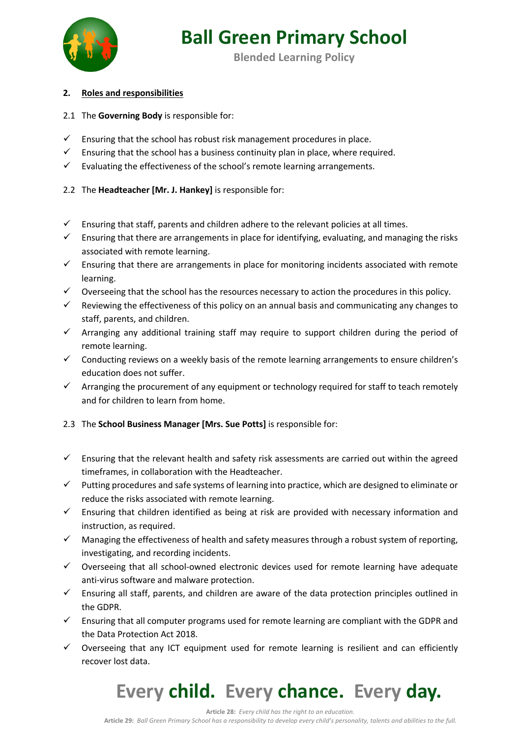

**Blended Learning Policy**

### **2. Roles and responsibilities**

#### 2.1 The **Governing Body** is responsible for:

- $\checkmark$  Ensuring that the school has robust risk management procedures in place.
- $\checkmark$  Ensuring that the school has a business continuity plan in place, where required.
- $\checkmark$  Evaluating the effectiveness of the school's remote learning arrangements.
- 2.2 The **Headteacher [Mr. J. Hankey]** is responsible for:
- $\checkmark$  Ensuring that staff, parents and children adhere to the relevant policies at all times.
- $\checkmark$  Ensuring that there are arrangements in place for identifying, evaluating, and managing the risks associated with remote learning.
- $\checkmark$  Ensuring that there are arrangements in place for monitoring incidents associated with remote learning.
- $\checkmark$  Overseeing that the school has the resources necessary to action the procedures in this policy.
- $\checkmark$  Reviewing the effectiveness of this policy on an annual basis and communicating any changes to staff, parents, and children.
- $\checkmark$  Arranging any additional training staff may require to support children during the period of remote learning.
- $\checkmark$  Conducting reviews on a weekly basis of the remote learning arrangements to ensure children's education does not suffer.
- $\checkmark$  Arranging the procurement of any equipment or technology required for staff to teach remotely and for children to learn from home.

### 2.3 The **School Business Manager [Mrs. Sue Potts]** is responsible for:

- $\checkmark$  Ensuring that the relevant health and safety risk assessments are carried out within the agreed timeframes, in collaboration with the Headteacher.
- $\checkmark$  Putting procedures and safe systems of learning into practice, which are designed to eliminate or reduce the risks associated with remote learning.
- $\checkmark$  Ensuring that children identified as being at risk are provided with necessary information and instruction, as required.
- $\checkmark$  Managing the effectiveness of health and safety measures through a robust system of reporting, investigating, and recording incidents.
- $\checkmark$  Overseeing that all school-owned electronic devices used for remote learning have adequate anti-virus software and malware protection.
- $\checkmark$  Ensuring all staff, parents, and children are aware of the data protection principles outlined in the GDPR.
- $\checkmark$  Ensuring that all computer programs used for remote learning are compliant with the GDPR and the Data Protection Act 2018.
- $\checkmark$  Overseeing that any ICT equipment used for remote learning is resilient and can efficiently recover lost data.

### **Every child. Every chance. Every day.**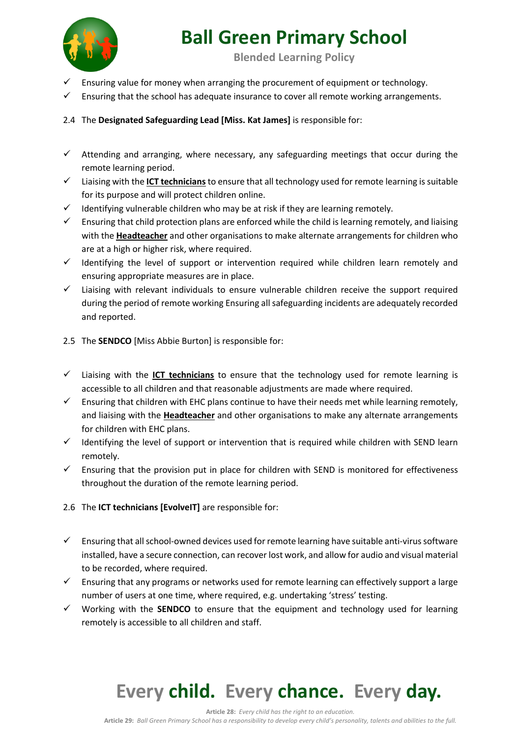

**Blended Learning Policy**

- ü Ensuring value for money when arranging the procurement of equipment or technology.
- ü Ensuring that the school has adequate insurance to cover all remote working arrangements.

### 2.4 The **Designated Safeguarding Lead [Miss. Kat James]** is responsible for:

- $\checkmark$  Attending and arranging, where necessary, any safeguarding meetings that occur during the remote learning period.
- ü Liaising with the **ICT technicians**to ensure that all technology used for remote learning is suitable for its purpose and will protect children online.
- $\checkmark$  Identifying vulnerable children who may be at risk if they are learning remotely.
- $\checkmark$  Ensuring that child protection plans are enforced while the child is learning remotely, and liaising with the **Headteacher** and other organisations to make alternate arrangements for children who are at a high or higher risk, where required.
- $\checkmark$  Identifying the level of support or intervention required while children learn remotely and ensuring appropriate measures are in place.
- $\checkmark$  Liaising with relevant individuals to ensure vulnerable children receive the support required during the period of remote working Ensuring all safeguarding incidents are adequately recorded and reported.
- 2.5 The **SENDCO** [Miss Abbie Burton] is responsible for:
- $\checkmark$  Liaising with the **ICT technicians** to ensure that the technology used for remote learning is accessible to all children and that reasonable adjustments are made where required.
- $\checkmark$  Ensuring that children with EHC plans continue to have their needs met while learning remotely, and liaising with the **Headteacher** and other organisations to make any alternate arrangements for children with EHC plans.
- $\checkmark$  Identifying the level of support or intervention that is required while children with SEND learn remotely.
- $\checkmark$  Ensuring that the provision put in place for children with SEND is monitored for effectiveness throughout the duration of the remote learning period.
- 2.6 The **ICT technicians [EvolveIT]** are responsible for:
- $\checkmark$  Ensuring that all school-owned devices used for remote learning have suitable anti-virus software installed, have a secure connection, can recover lost work, and allow for audio and visual material to be recorded, where required.
- $\checkmark$  Ensuring that any programs or networks used for remote learning can effectively support a large number of users at one time, where required, e.g. undertaking 'stress' testing.
- $\checkmark$  Working with the **SENDCO** to ensure that the equipment and technology used for learning remotely is accessible to all children and staff.

# **Every child. Every chance. Every day.**

**Article 28:** *Every child has the right to an education.*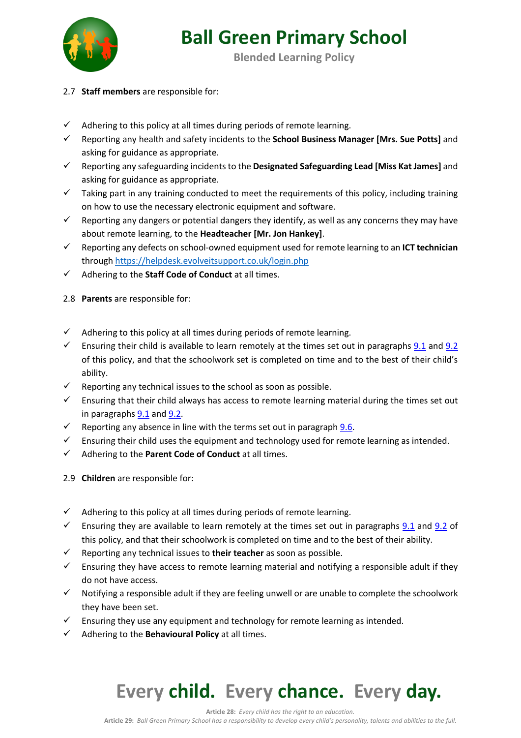

**Blended Learning Policy**

- 2.7 **Staff members** are responsible for:
- $\checkmark$  Adhering to this policy at all times during periods of remote learning.
- ü Reporting any health and safety incidents to the **School Business Manager [Mrs. Sue Potts]** and asking for guidance as appropriate.
- ü Reporting any safeguarding incidents to the **Designated Safeguarding Lead [Miss Kat James]** and asking for guidance as appropriate.
- $\checkmark$  Taking part in any training conducted to meet the requirements of this policy, including training on how to use the necessary electronic equipment and software.
- $\checkmark$  Reporting any dangers or potential dangers they identify, as well as any concerns they may have about remote learning, to the **Headteacher [Mr. Jon Hankey]**.
- $\checkmark$  Reporting any defects on school-owned equipment used for remote learning to an **ICT technician** through https://helpdesk.evolveitsupport.co.uk/login.php
- $\checkmark$  Adhering to the **Staff Code of Conduct** at all times.

### 2.8 **Parents** are responsible for:

- $\checkmark$  Adhering to this policy at all times during periods of remote learning.
- Ensuring their child is available to learn remotely at the times set out in paragraphs 9.1 and 9.2 of this policy, and that the schoolwork set is completed on time and to the best of their child's ability.
- $\checkmark$  Reporting any technical issues to the school as soon as possible.
- $\checkmark$  Ensuring that their child always has access to remote learning material during the times set out in paragraphs  $9.1$  and  $9.2$ .
- Europorting any absence in line with the terms set out in paragraph  $9.6$ .
- $\checkmark$  Ensuring their child uses the equipment and technology used for remote learning as intended.
- $\checkmark$  Adhering to the **Parent Code of Conduct** at all times.
- 2.9 **Children** are responsible for:
- $\checkmark$  Adhering to this policy at all times during periods of remote learning.
- Ensuring they are available to learn remotely at the times set out in paragraphs  $9.1$  and  $9.2$  of this policy, and that their schoolwork is completed on time and to the best of their ability.
- Europorting any technical issues to **their teacher** as soon as possible.
- $\checkmark$  Ensuring they have access to remote learning material and notifying a responsible adult if they do not have access.
- $\checkmark$  Notifying a responsible adult if they are feeling unwell or are unable to complete the schoolwork they have been set.
- $\checkmark$  Ensuring they use any equipment and technology for remote learning as intended.
- $\checkmark$  Adhering to the **Behavioural Policy** at all times.

## **Every child. Every chance. Every day.**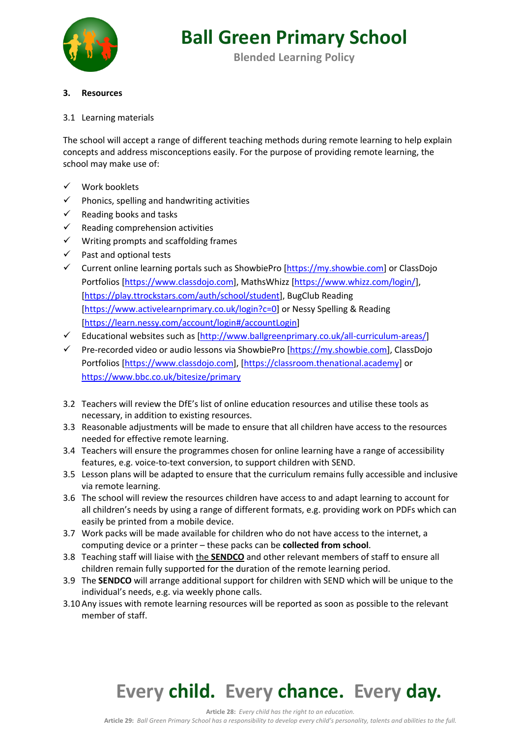

**Blended Learning Policy**

#### **3. Resources**

#### 3.1 Learning materials

The school will accept a range of different teaching methods during remote learning to help explain concepts and address misconceptions easily. For the purpose of providing remote learning, the school may make use of:

- $\checkmark$  Work booklets
- $\checkmark$  Phonics, spelling and handwriting activities
- $\checkmark$  Reading books and tasks
- $\checkmark$  Reading comprehension activities
- $\checkmark$  Writing prompts and scaffolding frames
- $\checkmark$  Past and optional tests
- $\checkmark$  Current online learning portals such as ShowbiePro [https://my.showbie.com] or ClassDojo Portfolios [https://www.classdojo.com], MathsWhizz [https://www.whizz.com/login/], [https://play.ttrockstars.com/auth/school/student], BugClub Reading [https://www.activelearnprimary.co.uk/login?c=0] or Nessy Spelling & Reading [https://learn.nessy.com/account/login#/accountLogin]
- $\checkmark$  Educational websites such as [http://www.ballgreenprimary.co.uk/all-curriculum-areas/]
- $\checkmark$  Pre-recorded video or audio lessons via ShowbiePro [https://my.showbie.com], ClassDojo Portfolios [https://www.classdojo.com], [https://classroom.thenational.academy] or https://www.bbc.co.uk/bitesize/primary
- 3.2 Teachers will review the DfE's list of online education resources and utilise these tools as necessary, in addition to existing resources.
- 3.3 Reasonable adjustments will be made to ensure that all children have access to the resources needed for effective remote learning.
- 3.4 Teachers will ensure the programmes chosen for online learning have a range of accessibility features, e.g. voice-to-text conversion, to support children with SEND.
- 3.5 Lesson plans will be adapted to ensure that the curriculum remains fully accessible and inclusive via remote learning.
- 3.6 The school will review the resources children have access to and adapt learning to account for all children's needs by using a range of different formats, e.g. providing work on PDFs which can easily be printed from a mobile device.
- 3.7 Work packs will be made available for children who do not have access to the internet, a computing device or a printer – these packs can be **collected from school**.
- 3.8 Teaching staff will liaise with the **SENDCO** and other relevant members of staff to ensure all children remain fully supported for the duration of the remote learning period.
- 3.9 The **SENDCO** will arrange additional support for children with SEND which will be unique to the individual's needs, e.g. via weekly phone calls.
- 3.10 Any issues with remote learning resources will be reported as soon as possible to the relevant member of staff.

## **Every child. Every chance. Every day.**

**Article 28:** *Every child has the right to an education.*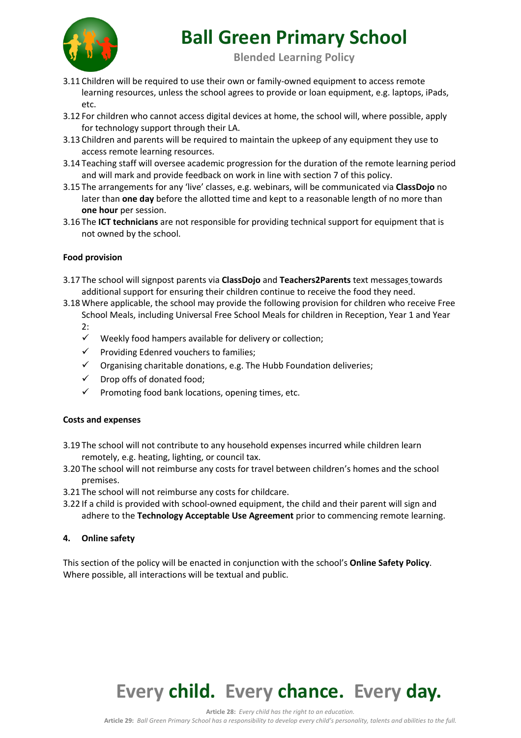

**Blended Learning Policy**

- 3.11 Children will be required to use their own or family-owned equipment to access remote learning resources, unless the school agrees to provide or loan equipment, e.g. laptops, iPads, etc.
- 3.12 For children who cannot access digital devices at home, the school will, where possible, apply for technology support through their LA.
- 3.13 Children and parents will be required to maintain the upkeep of any equipment they use to access remote learning resources.
- 3.14 Teaching staff will oversee academic progression for the duration of the remote learning period and will mark and provide feedback on work in line with section 7 of this policy.
- 3.15 The arrangements for any 'live' classes, e.g. webinars, will be communicated via **ClassDojo** no later than **one day** before the allotted time and kept to a reasonable length of no more than **one hour** per session.
- 3.16 The **ICT technicians** are not responsible for providing technical support for equipment that is not owned by the school.

### **Food provision**

- 3.17 The school will signpost parents via **ClassDojo** and **Teachers2Parents** text messages towards additional support for ensuring their children continue to receive the food they need.
- 3.18 Where applicable, the school may provide the following provision for children who receive Free School Meals, including Universal Free School Meals for children in Reception, Year 1 and Year

2:

- $\checkmark$  Weekly food hampers available for delivery or collection;
- $\checkmark$  Providing Edenred vouchers to families;
- $\checkmark$  Organising charitable donations, e.g. The Hubb Foundation deliveries;
- $\checkmark$  Drop offs of donated food;
- $\checkmark$  Promoting food bank locations, opening times, etc.

#### **Costs and expenses**

- 3.19 The school will not contribute to any household expenses incurred while children learn remotely, e.g. heating, lighting, or council tax.
- 3.20 The school will not reimburse any costs for travel between children's homes and the school premises.
- 3.21 The school will not reimburse any costs for childcare.
- 3.22 If a child is provided with school-owned equipment, the child and their parent will sign and adhere to the **Technology Acceptable Use Agreement** prior to commencing remote learning.

#### **4. Online safety**

This section of the policy will be enacted in conjunction with the school's **Online Safety Policy**. Where possible, all interactions will be textual and public.

## **Every child. Every chance. Every day.**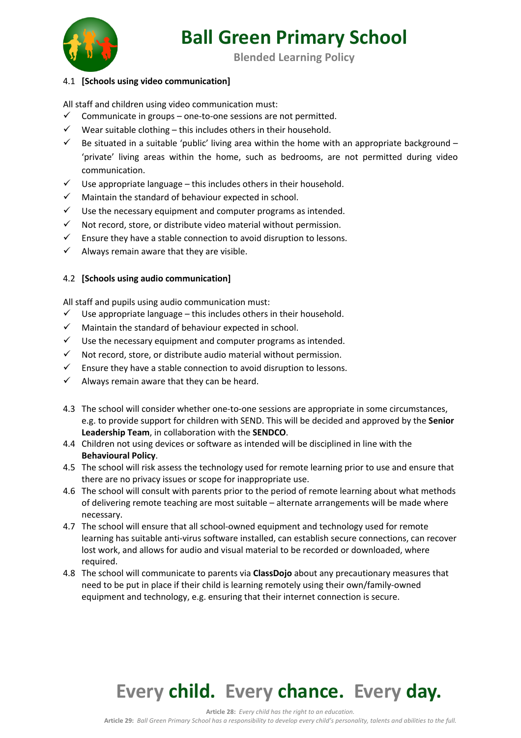

**Blended Learning Policy**

#### 4.1 **[Schools using video communication]**

All staff and children using video communication must:

- $\checkmark$  Communicate in groups one-to-one sessions are not permitted.
- $\checkmark$  Wear suitable clothing this includes others in their household.
- Equivated in a suitable 'public' living area within the home with an appropriate background 'private' living areas within the home, such as bedrooms, are not permitted during video communication.
- $\checkmark$  Use appropriate language this includes others in their household.
- $\checkmark$  Maintain the standard of behaviour expected in school.
- $\checkmark$  Use the necessary equipment and computer programs as intended.
- $\checkmark$  Not record, store, or distribute video material without permission.
- $\checkmark$  Ensure they have a stable connection to avoid disruption to lessons.
- $\checkmark$  Always remain aware that they are visible.

#### 4.2 **[Schools using audio communication]**

All staff and pupils using audio communication must:

- $\checkmark$  Use appropriate language this includes others in their household.
- $\checkmark$  Maintain the standard of behaviour expected in school.
- $\checkmark$  Use the necessary equipment and computer programs as intended.
- $\checkmark$  Not record, store, or distribute audio material without permission.
- $\checkmark$  Ensure they have a stable connection to avoid disruption to lessons.
- $\checkmark$  Always remain aware that they can be heard.
- 4.3 The school will consider whether one-to-one sessions are appropriate in some circumstances, e.g. to provide support for children with SEND. This will be decided and approved by the **Senior Leadership Team**, in collaboration with the **SENDCO**.
- 4.4 Children not using devices or software as intended will be disciplined in line with the **Behavioural Policy**.
- 4.5 The school will risk assess the technology used for remote learning prior to use and ensure that there are no privacy issues or scope for inappropriate use.
- 4.6 The school will consult with parents prior to the period of remote learning about what methods of delivering remote teaching are most suitable – alternate arrangements will be made where necessary.
- 4.7 The school will ensure that all school-owned equipment and technology used for remote learning has suitable anti-virus software installed, can establish secure connections, can recover lost work, and allows for audio and visual material to be recorded or downloaded, where required.
- 4.8 The school will communicate to parents via **ClassDojo** about any precautionary measures that need to be put in place if their child is learning remotely using their own/family-owned equipment and technology, e.g. ensuring that their internet connection is secure.

## **Every child. Every chance. Every day.**

**Article 28:** *Every child has the right to an education.*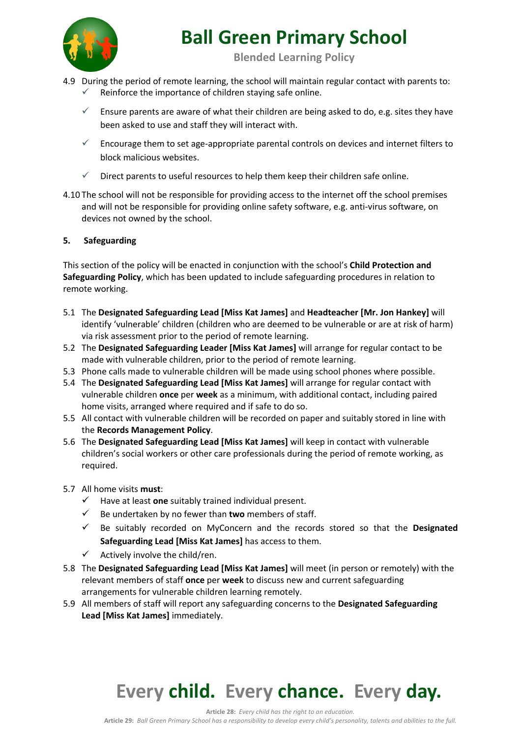

**Blended Learning Policy**

- 4.9 During the period of remote learning, the school will maintain regular contact with parents to:
	- Reinforce the importance of children staying safe online.
	- ü Ensure parents are aware of what their children are being asked to do, e.g. sites they have been asked to use and staff they will interact with.
	- $\checkmark$  Encourage them to set age-appropriate parental controls on devices and internet filters to block malicious websites.
	- $\checkmark$  Direct parents to useful resources to help them keep their children safe online.
- 4.10 The school will not be responsible for providing access to the internet off the school premises and will not be responsible for providing online safety software, e.g. anti-virus software, on devices not owned by the school.

#### **5. Safeguarding**

This section of the policy will be enacted in conjunction with the school's **Child Protection and Safeguarding Policy**, which has been updated to include safeguarding procedures in relation to remote working.

- 5.1 The **Designated Safeguarding Lead [Miss Kat James]** and **Headteacher [Mr. Jon Hankey]** will identify 'vulnerable' children (children who are deemed to be vulnerable or are at risk of harm) via risk assessment prior to the period of remote learning.
- 5.2 The **Designated Safeguarding Leader [Miss Kat James]** will arrange for regular contact to be made with vulnerable children, prior to the period of remote learning.
- 5.3 Phone calls made to vulnerable children will be made using school phones where possible.
- 5.4 The **Designated Safeguarding Lead [Miss Kat James]** will arrange for regular contact with vulnerable children **once** per **week** as a minimum, with additional contact, including paired home visits, arranged where required and if safe to do so.
- 5.5 All contact with vulnerable children will be recorded on paper and suitably stored in line with the **Records Management Policy**.
- 5.6 The **Designated Safeguarding Lead [Miss Kat James]** will keep in contact with vulnerable children's social workers or other care professionals during the period of remote working, as required.
- 5.7 All home visits **must**:
	- $\checkmark$  Have at least **one** suitably trained individual present.
	- $\checkmark$  Be undertaken by no fewer than **two** members of staff.
	- $\checkmark$  Be suitably recorded on MyConcern and the records stored so that the **Designated Safeguarding Lead [Miss Kat James]** has access to them.
	- $\checkmark$  Actively involve the child/ren.
- 5.8 The **Designated Safeguarding Lead [Miss Kat James]** will meet (in person or remotely) with the relevant members of staff **once** per **week** to discuss new and current safeguarding arrangements for vulnerable children learning remotely.
- 5.9 All members of staff will report any safeguarding concerns to the **Designated Safeguarding Lead [Miss Kat James]** immediately.

### **Every child. Every chance. Every day.**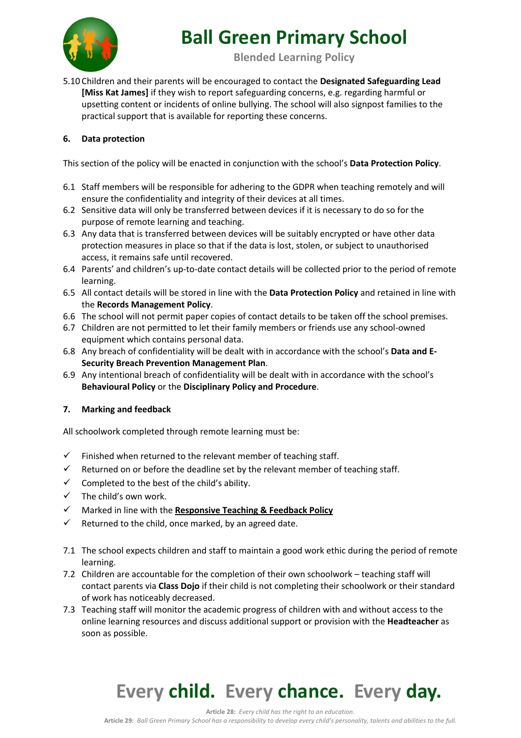

**Blended Learning Policy**

5.10 Children and their parents will be encouraged to contact the **Designated Safeguarding Lead [Miss Kat James]** if they wish to report safeguarding concerns, e.g. regarding harmful or upsetting content or incidents of online bullying. The school will also signpost families to the practical support that is available for reporting these concerns.

### **6. Data protection**

This section of the policy will be enacted in conjunction with the school's **Data Protection Policy**.

- 6.1 Staff members will be responsible for adhering to the GDPR when teaching remotely and will ensure the confidentiality and integrity of their devices at all times.
- 6.2 Sensitive data will only be transferred between devices if it is necessary to do so for the purpose of remote learning and teaching.
- 6.3 Any data that is transferred between devices will be suitably encrypted or have other data protection measures in place so that if the data is lost, stolen, or subject to unauthorised access, it remains safe until recovered.
- 6.4 Parents' and children's up-to-date contact details will be collected prior to the period of remote learning.
- 6.5 All contact details will be stored in line with the **Data Protection Policy** and retained in line with the **Records Management Policy**.
- 6.6 The school will not permit paper copies of contact details to be taken off the school premises.
- 6.7 Children are not permitted to let their family members or friends use any school-owned equipment which contains personal data.
- 6.8 Any breach of confidentiality will be dealt with in accordance with the school's **Data and E-Security Breach Prevention Management Plan**.
- 6.9 Any intentional breach of confidentiality will be dealt with in accordance with the school's **Behavioural Policy** or the **Disciplinary Policy and Procedure**.

### **7. Marking and feedback**

All schoolwork completed through remote learning must be:

- $\checkmark$  Finished when returned to the relevant member of teaching staff.
- $\checkmark$  Returned on or before the deadline set by the relevant member of teaching staff.
- $\checkmark$  Completed to the best of the child's ability.
- $\checkmark$  The child's own work.
- ü Marked in line with the **Responsive Teaching & Feedback Policy**
- $\checkmark$  Returned to the child, once marked, by an agreed date.
- 7.1 The school expects children and staff to maintain a good work ethic during the period of remote learning.
- 7.2 Children are accountable for the completion of their own schoolwork teaching staff will contact parents via **Class Dojo** if their child is not completing their schoolwork or their standard of work has noticeably decreased.
- 7.3 Teaching staff will monitor the academic progress of children with and without access to the online learning resources and discuss additional support or provision with the **Headteacher** as soon as possible.

# **Every child. Every chance. Every day.**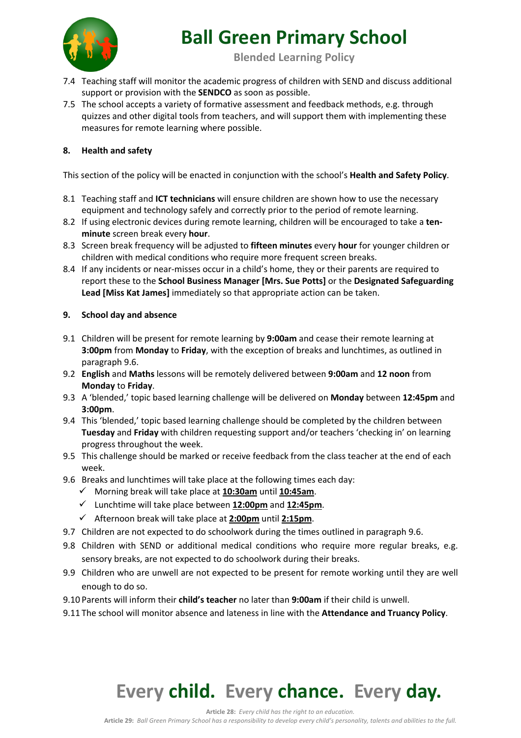

**Blended Learning Policy**

- 7.4 Teaching staff will monitor the academic progress of children with SEND and discuss additional support or provision with the **SENDCO** as soon as possible.
- 7.5 The school accepts a variety of formative assessment and feedback methods, e.g. through quizzes and other digital tools from teachers, and will support them with implementing these measures for remote learning where possible.

### **8. Health and safety**

This section of the policy will be enacted in conjunction with the school's **Health and Safety Policy**.

- 8.1 Teaching staff and **ICT technicians** will ensure children are shown how to use the necessary equipment and technology safely and correctly prior to the period of remote learning.
- 8.2 If using electronic devices during remote learning, children will be encouraged to take a **tenminute** screen break every **hour**.
- 8.3 Screen break frequency will be adjusted to **fifteen minutes** every **hour** for younger children or children with medical conditions who require more frequent screen breaks.
- 8.4 If any incidents or near-misses occur in a child's home, they or their parents are required to report these to the **School Business Manager [Mrs. Sue Potts]** or the **Designated Safeguarding Lead [Miss Kat James]** immediately so that appropriate action can be taken.

### **9. School day and absence**

- 9.1 Children will be present for remote learning by **9:00am** and cease their remote learning at **3:00pm** from **Monday** to **Friday**, with the exception of breaks and lunchtimes, as outlined in paragraph 9.6.
- 9.2 **English** and **Maths** lessons will be remotely delivered between **9:00am** and **12 noon** from **Monday** to **Friday**.
- 9.3 A 'blended,' topic based learning challenge will be delivered on **Monday** between **12:45pm** and **3:00pm**.
- 9.4 This 'blended,' topic based learning challenge should be completed by the children between **Tuesday** and **Friday** with children requesting support and/or teachers 'checking in' on learning progress throughout the week.
- 9.5 This challenge should be marked or receive feedback from the class teacher at the end of each week.
- 9.6 Breaks and lunchtimes will take place at the following times each day:
	- ü Morning break will take place at **10:30am** until **10:45am**.
	- ü Lunchtime will take place between **12:00pm** and **12:45pm**.
	- ü Afternoon break will take place at **2:00pm** until **2:15pm**.
- 9.7 Children are not expected to do schoolwork during the times outlined in paragraph 9.6.
- 9.8 Children with SEND or additional medical conditions who require more regular breaks, e.g. sensory breaks, are not expected to do schoolwork during their breaks.
- 9.9 Children who are unwell are not expected to be present for remote working until they are well enough to do so.
- 9.10 Parents will inform their **child's teacher** no later than **9:00am** if their child is unwell.
- 9.11 The school will monitor absence and lateness in line with the **Attendance and Truancy Policy**.

# **Every child. Every chance. Every day.**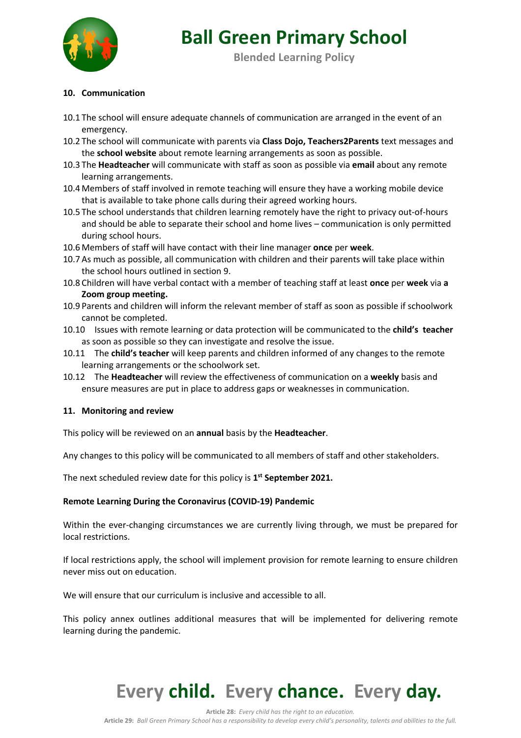

**Blended Learning Policy**

#### **10. Communication**

- 10.1 The school will ensure adequate channels of communication are arranged in the event of an emergency.
- 10.2 The school will communicate with parents via **Class Dojo, Teachers2Parents** text messages and the **school website** about remote learning arrangements as soon as possible.
- 10.3 The **Headteacher** will communicate with staff as soon as possible via **email** about any remote learning arrangements.
- 10.4 Members of staff involved in remote teaching will ensure they have a working mobile device that is available to take phone calls during their agreed working hours.
- 10.5 The school understands that children learning remotely have the right to privacy out-of-hours and should be able to separate their school and home lives – communication is only permitted during school hours.
- 10.6 Members of staff will have contact with their line manager **once** per **week**.
- 10.7 As much as possible, all communication with children and their parents will take place within the school hours outlined in section 9.
- 10.8 Children will have verbal contact with a member of teaching staff at least **once** per **week** via **a Zoom group meeting.**
- 10.9 Parents and children will inform the relevant member of staff as soon as possible if schoolwork cannot be completed.
- 10.10 Issues with remote learning or data protection will be communicated to the **child's teacher** as soon as possible so they can investigate and resolve the issue.
- 10.11 The **child's teacher** will keep parents and children informed of any changes to the remote learning arrangements or the schoolwork set.
- 10.12 The **Headteacher** will review the effectiveness of communication on a **weekly** basis and ensure measures are put in place to address gaps or weaknesses in communication.

#### **11. Monitoring and review**

This policy will be reviewed on an **annual** basis by the **Headteacher**.

Any changes to this policy will be communicated to all members of staff and other stakeholders.

The next scheduled review date for this policy is **1st September 2021.**

#### **Remote Learning During the Coronavirus (COVID-19) Pandemic**

Within the ever-changing circumstances we are currently living through, we must be prepared for local restrictions.

If local restrictions apply, the school will implement provision for remote learning to ensure children never miss out on education.

We will ensure that our curriculum is inclusive and accessible to all.

This policy annex outlines additional measures that will be implemented for delivering remote learning during the pandemic.

## **Every child. Every chance. Every day.**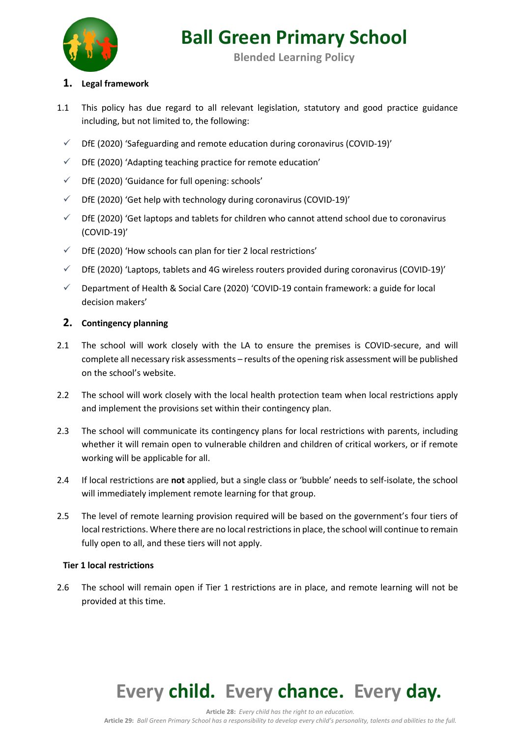

**Blended Learning Policy**

### **1. Legal framework**

- 1.1 This policy has due regard to all relevant legislation, statutory and good practice guidance including, but not limited to, the following:
	- $\checkmark$  DfE (2020) 'Safeguarding and remote education during coronavirus (COVID-19)'
	- $\checkmark$  DfE (2020) 'Adapting teaching practice for remote education'
	- $\checkmark$  DfE (2020) 'Guidance for full opening: schools'
	- $\checkmark$  DfE (2020) 'Get help with technology during coronavirus (COVID-19)'
	- $\checkmark$  DfE (2020) 'Get laptops and tablets for children who cannot attend school due to coronavirus (COVID-19)'
	- $\checkmark$  DfE (2020) 'How schools can plan for tier 2 local restrictions'
	- $\checkmark$  DfE (2020) 'Laptops, tablets and 4G wireless routers provided during coronavirus (COVID-19)'
	- $\checkmark$  Department of Health & Social Care (2020) 'COVID-19 contain framework: a guide for local decision makers'

### **2. Contingency planning**

- 2.1 The school will work closely with the LA to ensure the premises is COVID-secure, and will complete all necessary risk assessments – results of the opening risk assessment will be published on the school's website.
- 2.2 The school will work closely with the local health protection team when local restrictions apply and implement the provisions set within their contingency plan.
- 2.3 The school will communicate its contingency plans for local restrictions with parents, including whether it will remain open to vulnerable children and children of critical workers, or if remote working will be applicable for all.
- 2.4 If local restrictions are **not** applied, but a single class or 'bubble' needs to self-isolate, the school will immediately implement remote learning for that group.
- 2.5 The level of remote learning provision required will be based on the government's four tiers of local restrictions. Where there are no local restrictions in place, the school will continue to remain fully open to all, and these tiers will not apply.

### **Tier 1 local restrictions**

2.6 The school will remain open if Tier 1 restrictions are in place, and remote learning will not be provided at this time.

# **Every child. Every chance. Every day.**

**Article 28:** *Every child has the right to an education.*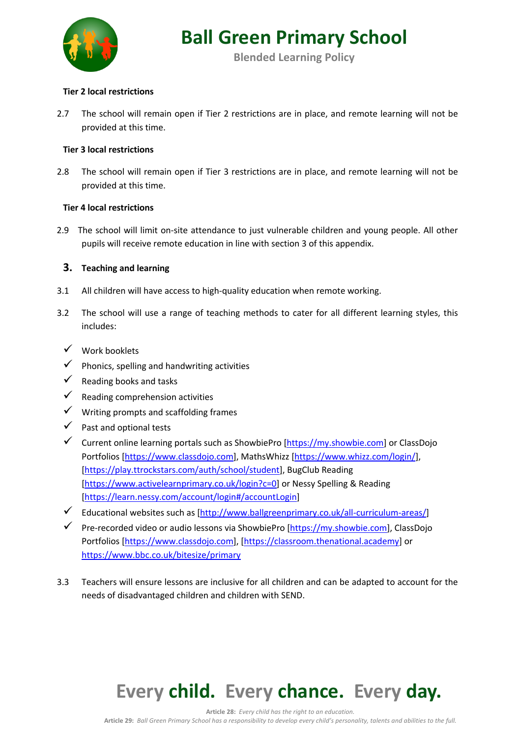

**Blended Learning Policy**

#### **Tier 2 local restrictions**

2.7 The school will remain open if Tier 2 restrictions are in place, and remote learning will not be provided at this time.

#### **Tier 3 local restrictions**

2.8 The school will remain open if Tier 3 restrictions are in place, and remote learning will not be provided at this time.

#### **Tier 4 local restrictions**

2.9 The school will limit on-site attendance to just vulnerable children and young people. All other pupils will receive remote education in line with section 3 of this appendix.

### **3. Teaching and learning**

- 3.1 All children will have access to high-quality education when remote working.
- 3.2 The school will use a range of teaching methods to cater for all different learning styles, this includes:
	- $V$  Work booklets
	- $\checkmark$  Phonics, spelling and handwriting activities
	- $\checkmark$  Reading books and tasks
	- $\checkmark$  Reading comprehension activities
	- $\checkmark$  Writing prompts and scaffolding frames
	- $\checkmark$  Past and optional tests
	- $\checkmark$  Current online learning portals such as ShowbiePro [https://my.showbie.com] or ClassDojo Portfolios [https://www.classdojo.com], MathsWhizz [https://www.whizz.com/login/], [https://play.ttrockstars.com/auth/school/student], BugClub Reading [https://www.activelearnprimary.co.uk/login?c=0] or Nessy Spelling & Reading [https://learn.nessy.com/account/login#/accountLogin]
	- $\checkmark$  Educational websites such as [http://www.ballgreenprimary.co.uk/all-curriculum-areas/]
	- ü Pre-recorded video or audio lessons via ShowbiePro [https://my.showbie.com], ClassDojo Portfolios [https://www.classdojo.com], [https://classroom.thenational.academy] or https://www.bbc.co.uk/bitesize/primary
- 3.3 Teachers will ensure lessons are inclusive for all children and can be adapted to account for the needs of disadvantaged children and children with SEND.

### **Every child. Every chance. Every day.**

**Article 28:** *Every child has the right to an education.*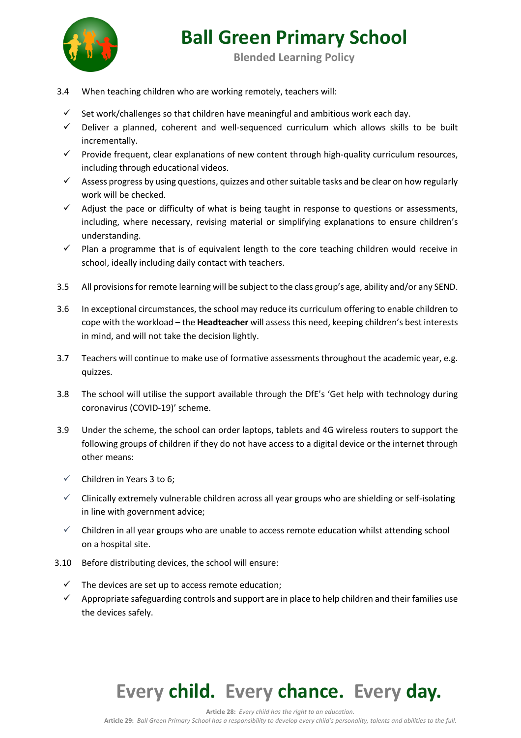

**Blended Learning Policy**

- 3.4 When teaching children who are working remotely, teachers will:
	- $\checkmark$  Set work/challenges so that children have meaningful and ambitious work each day.
	- $\checkmark$  Deliver a planned, coherent and well-sequenced curriculum which allows skills to be built incrementally.
	- $\checkmark$  Provide frequent, clear explanations of new content through high-quality curriculum resources, including through educational videos.
	- $\checkmark$  Assess progress by using questions, quizzes and other suitable tasks and be clear on how regularly work will be checked.
	- $\checkmark$  Adjust the pace or difficulty of what is being taught in response to questions or assessments, including, where necessary, revising material or simplifying explanations to ensure children's understanding.
	- $\checkmark$  Plan a programme that is of equivalent length to the core teaching children would receive in school, ideally including daily contact with teachers.
- 3.5 All provisions for remote learning will be subject to the class group's age, ability and/or any SEND.
- 3.6 In exceptional circumstances, the school may reduce its curriculum offering to enable children to cope with the workload – the **Headteacher** will assess this need, keeping children's best interests in mind, and will not take the decision lightly.
- 3.7 Teachers will continue to make use of formative assessments throughout the academic year, e.g. quizzes.
- 3.8 The school will utilise the support available through the DfE's 'Get help with technology during coronavirus (COVID-19)' scheme.
- 3.9 Under the scheme, the school can order laptops, tablets and 4G wireless routers to support the following groups of children if they do not have access to a digital device or the internet through other means:
	- $\checkmark$  Children in Years 3 to 6;
	- $\checkmark$  Clinically extremely vulnerable children across all year groups who are shielding or self-isolating in line with government advice;
	- $\checkmark$  Children in all year groups who are unable to access remote education whilst attending school on a hospital site.
- 3.10 Before distributing devices, the school will ensure:
	- $\checkmark$  The devices are set up to access remote education;
	- $\checkmark$  Appropriate safeguarding controls and support are in place to help children and their families use the devices safely.

## **Every child. Every chance. Every day.**

**Article 28:** *Every child has the right to an education.*